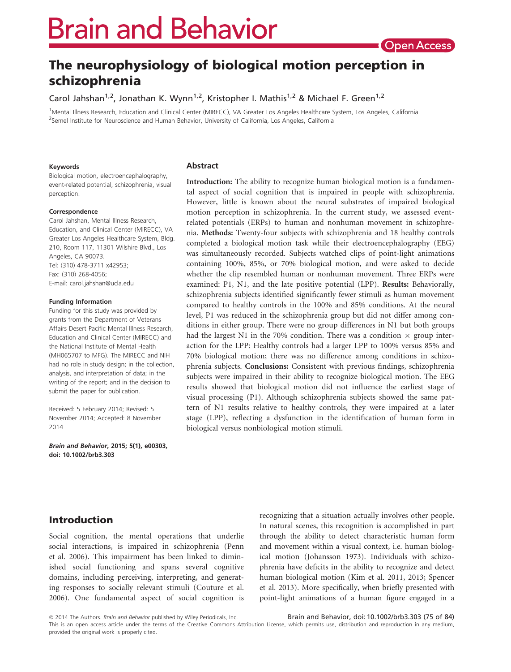# **Brain and Behavior**

# The neurophysiology of biological motion perception in schizophrenia

Carol Jahshan<sup>1,2</sup>, Jonathan K. Wynn<sup>1,2</sup>, Kristopher I. Mathis<sup>1,2</sup> & Michael F. Green<sup>1,2</sup>

1 Mental Illness Research, Education and Clinical Center (MIRECC), VA Greater Los Angeles Healthcare System, Los Angeles, California <sup>2</sup>Semel Institute for Neuroscience and Human Behavior, University of California, Los Angeles, California

#### Keywords

Biological motion, electroencephalography, event-related potential, schizophrenia, visual perception.

#### Correspondence

Carol Jahshan, Mental Illness Research, Education, and Clinical Center (MIRECC), VA Greater Los Angeles Healthcare System, Bldg. 210, Room 117, 11301 Wilshire Blvd., Los Angeles, CA 90073. Tel: (310) 478-3711 x42953; Fax: (310) 268-4056; E-mail: carol.jahshan@ucla.edu

#### Funding Information

Funding for this study was provided by grants from the Department of Veterans Affairs Desert Pacific Mental Illness Research, Education and Clinical Center (MIRECC) and the National Institute of Mental Health (MH065707 to MFG). The MIRECC and NIH had no role in study design; in the collection, analysis, and interpretation of data; in the writing of the report; and in the decision to submit the paper for publication.

Received: 5 February 2014; Revised: 5 November 2014; Accepted: 8 November 2014

Brain and Behavior, 2015; 5(1), e00303, doi: [10.1002/brb3.303](info:doi/10.1002/brb3.303)

#### Abstract

Introduction: The ability to recognize human biological motion is a fundamental aspect of social cognition that is impaired in people with schizophrenia. However, little is known about the neural substrates of impaired biological motion perception in schizophrenia. In the current study, we assessed eventrelated potentials (ERPs) to human and nonhuman movement in schizophrenia. Methods: Twenty-four subjects with schizophrenia and 18 healthy controls completed a biological motion task while their electroencephalography (EEG) was simultaneously recorded. Subjects watched clips of point-light animations containing 100%, 85%, or 70% biological motion, and were asked to decide whether the clip resembled human or nonhuman movement. Three ERPs were examined: P1, N1, and the late positive potential (LPP). Results: Behaviorally, schizophrenia subjects identified significantly fewer stimuli as human movement compared to healthy controls in the 100% and 85% conditions. At the neural level, P1 was reduced in the schizophrenia group but did not differ among conditions in either group. There were no group differences in N1 but both groups had the largest N1 in the 70% condition. There was a condition  $\times$  group interaction for the LPP: Healthy controls had a larger LPP to 100% versus 85% and 70% biological motion; there was no difference among conditions in schizophrenia subjects. Conclusions: Consistent with previous findings, schizophrenia subjects were impaired in their ability to recognize biological motion. The EEG results showed that biological motion did not influence the earliest stage of visual processing (P1). Although schizophrenia subjects showed the same pattern of N1 results relative to healthy controls, they were impaired at a later stage (LPP), reflecting a dysfunction in the identification of human form in biological versus nonbiological motion stimuli.

# Introduction

Social cognition, the mental operations that underlie social interactions, is impaired in schizophrenia (Penn et al. 2006). This impairment has been linked to diminished social functioning and spans several cognitive domains, including perceiving, interpreting, and generating responses to socially relevant stimuli (Couture et al. 2006). One fundamental aspect of social cognition is recognizing that a situation actually involves other people. In natural scenes, this recognition is accomplished in part through the ability to detect characteristic human form and movement within a visual context, i.e. human biological motion (Johansson 1973). Individuals with schizophrenia have deficits in the ability to recognize and detect human biological motion (Kim et al. 2011, 2013; Spencer et al. 2013). More specifically, when briefly presented with point-light animations of a human figure engaged in a

© 2014 The Authors. Brain and Behavior published by Wiley Periodicals, Inc.

Brain and Behavior, doi: 10.1002/brb3.303 (75 of 84)

This is an open access article under the terms of the Creative Commons Attribution License, which permits use, distribution and reproduction in any medium, provided the original work is properly cited.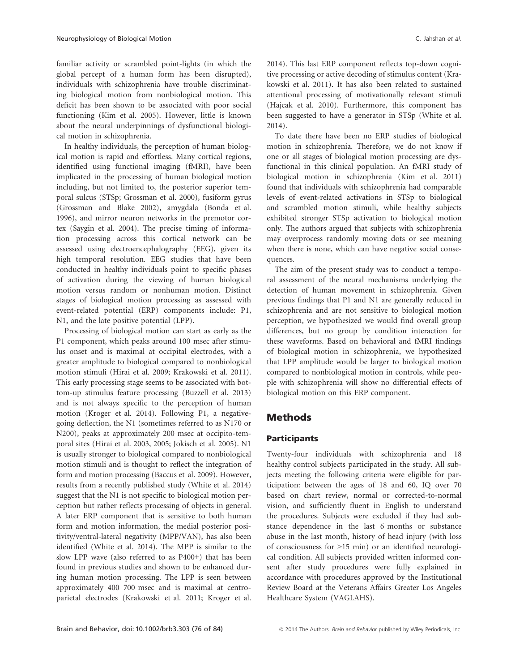familiar activity or scrambled point-lights (in which the global percept of a human form has been disrupted), individuals with schizophrenia have trouble discriminating biological motion from nonbiological motion. This deficit has been shown to be associated with poor social functioning (Kim et al. 2005). However, little is known about the neural underpinnings of dysfunctional biological motion in schizophrenia.

In healthy individuals, the perception of human biological motion is rapid and effortless. Many cortical regions, identified using functional imaging (fMRI), have been implicated in the processing of human biological motion including, but not limited to, the posterior superior temporal sulcus (STSp; Grossman et al. 2000), fusiform gyrus (Grossman and Blake 2002), amygdala (Bonda et al. 1996), and mirror neuron networks in the premotor cortex (Saygin et al. 2004). The precise timing of information processing across this cortical network can be assessed using electroencephalography (EEG), given its high temporal resolution. EEG studies that have been conducted in healthy individuals point to specific phases of activation during the viewing of human biological motion versus random or nonhuman motion. Distinct stages of biological motion processing as assessed with event-related potential (ERP) components include: P1, N1, and the late positive potential (LPP).

Processing of biological motion can start as early as the P1 component, which peaks around 100 msec after stimulus onset and is maximal at occipital electrodes, with a greater amplitude to biological compared to nonbiological motion stimuli (Hirai et al. 2009; Krakowski et al. 2011). This early processing stage seems to be associated with bottom-up stimulus feature processing (Buzzell et al. 2013) and is not always specific to the perception of human motion (Kroger et al. 2014). Following P1, a negativegoing deflection, the N1 (sometimes referred to as N170 or N200), peaks at approximately 200 msec at occipito-temporal sites (Hirai et al. 2003, 2005; Jokisch et al. 2005). N1 is usually stronger to biological compared to nonbiological motion stimuli and is thought to reflect the integration of form and motion processing (Baccus et al. 2009). However, results from a recently published study (White et al. 2014) suggest that the N1 is not specific to biological motion perception but rather reflects processing of objects in general. A later ERP component that is sensitive to both human form and motion information, the medial posterior positivity/ventral-lateral negativity (MPP/VAN), has also been identified (White et al. 2014). The MPP is similar to the slow LPP wave (also referred to as P400+) that has been found in previous studies and shown to be enhanced during human motion processing. The LPP is seen between approximately 400–700 msec and is maximal at centroparietal electrodes (Krakowski et al. 2011; Kroger et al. 2014). This last ERP component reflects top-down cognitive processing or active decoding of stimulus content (Krakowski et al. 2011). It has also been related to sustained attentional processing of motivationally relevant stimuli (Hajcak et al. 2010). Furthermore, this component has been suggested to have a generator in STSp (White et al. 2014).

To date there have been no ERP studies of biological motion in schizophrenia. Therefore, we do not know if one or all stages of biological motion processing are dysfunctional in this clinical population. An fMRI study of biological motion in schizophrenia (Kim et al. 2011) found that individuals with schizophrenia had comparable levels of event-related activations in STSp to biological and scrambled motion stimuli, while healthy subjects exhibited stronger STSp activation to biological motion only. The authors argued that subjects with schizophrenia may overprocess randomly moving dots or see meaning when there is none, which can have negative social consequences.

The aim of the present study was to conduct a temporal assessment of the neural mechanisms underlying the detection of human movement in schizophrenia. Given previous findings that P1 and N1 are generally reduced in schizophrenia and are not sensitive to biological motion perception, we hypothesized we would find overall group differences, but no group by condition interaction for these waveforms. Based on behavioral and fMRI findings of biological motion in schizophrenia, we hypothesized that LPP amplitude would be larger to biological motion compared to nonbiological motion in controls, while people with schizophrenia will show no differential effects of biological motion on this ERP component.

## Methods

#### Participants

Twenty-four individuals with schizophrenia and 18 healthy control subjects participated in the study. All subjects meeting the following criteria were eligible for participation: between the ages of 18 and 60, IQ over 70 based on chart review, normal or corrected-to-normal vision, and sufficiently fluent in English to understand the procedures. Subjects were excluded if they had substance dependence in the last 6 months or substance abuse in the last month, history of head injury (with loss of consciousness for >15 min) or an identified neurological condition. All subjects provided written informed consent after study procedures were fully explained in accordance with procedures approved by the Institutional Review Board at the Veterans Affairs Greater Los Angeles Healthcare System (VAGLAHS).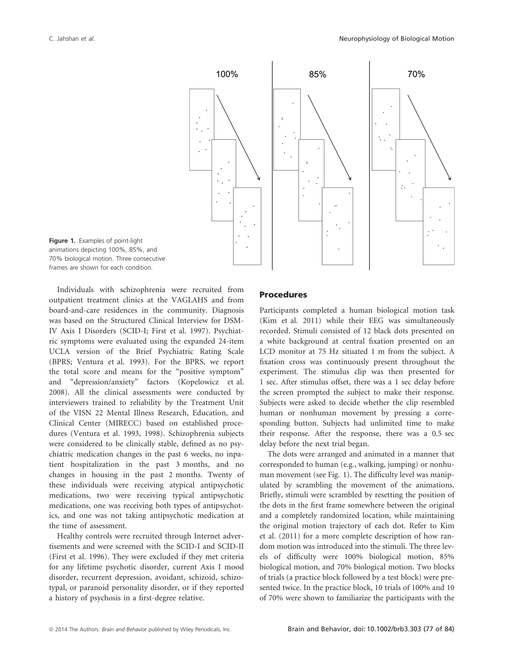

Figure 1. Examples of point-light animations depicting 100%, 85%, and 70% biological motion. Three consecutive frames are shown for each condition.

Individuals with schizophrenia were recruited from outpatient treatment clinics at the VAGLAHS and from board-and-care residences in the community. Diagnosis was based on the Structured Clinical Interview for DSM-IV Axis I Disorders (SCID-I; First et al. 1997). Psychiatric symptoms were evaluated using the expanded 24-item UCLA version of the Brief Psychiatric Rating Scale (BPRS; Ventura et al. 1993). For the BPRS, we report the total score and means for the "positive symptom" and "depression/anxiety" factors (Kopelowicz et al. 2008). All the clinical assessments were conducted by interviewers trained to reliability by the Treatment Unit of the VISN 22 Mental Illness Research, Education, and Clinical Center (MIRECC) based on established procedures (Ventura et al. 1993, 1998). Schizophrenia subjects were considered to be clinically stable, defined as no psychiatric medication changes in the past 6 weeks, no inpatient hospitalization in the past 3 months, and no changes in housing in the past 2 months. Twenty of these individuals were receiving atypical antipsychotic medications, two were receiving typical antipsychotic medications, one was receiving both types of antipsychotics, and one was not taking antipsychotic medication at the time of assessment.

Healthy controls were recruited through Internet advertisements and were screened with the SCID-I and SCID-II (First et al. 1996). They were excluded if they met criteria for any lifetime psychotic disorder, current Axis I mood disorder, recurrent depression, avoidant, schizoid, schizotypal, or paranoid personality disorder, or if they reported a history of psychosis in a first-degree relative.

#### Procedures

Participants completed a human biological motion task (Kim et al. 2011) while their EEG was simultaneously recorded. Stimuli consisted of 12 black dots presented on a white background at central fixation presented on an LCD monitor at 75 Hz situated 1 m from the subject. A fixation cross was continuously present throughout the experiment. The stimulus clip was then presented for 1 sec. After stimulus offset, there was a 1 sec delay before the screen prompted the subject to make their response. Subjects were asked to decide whether the clip resembled human or nonhuman movement by pressing a corresponding button. Subjects had unlimited time to make their response. After the response, there was a 0.5 sec delay before the next trial began.

The dots were arranged and animated in a manner that corresponded to human (e.g., walking, jumping) or nonhuman movement (see Fig. 1). The difficulty level was manipulated by scrambling the movement of the animations. Briefly, stimuli were scrambled by resetting the position of the dots in the first frame somewhere between the original and a completely randomized location, while maintaining the original motion trajectory of each dot. Refer to Kim et al. (2011) for a more complete description of how random motion was introduced into the stimuli. The three levels of difficulty were 100% biological motion, 85% biological motion, and 70% biological motion. Two blocks of trials (a practice block followed by a test block) were presented twice. In the practice block, 10 trials of 100% and 10 of 70% were shown to familiarize the participants with the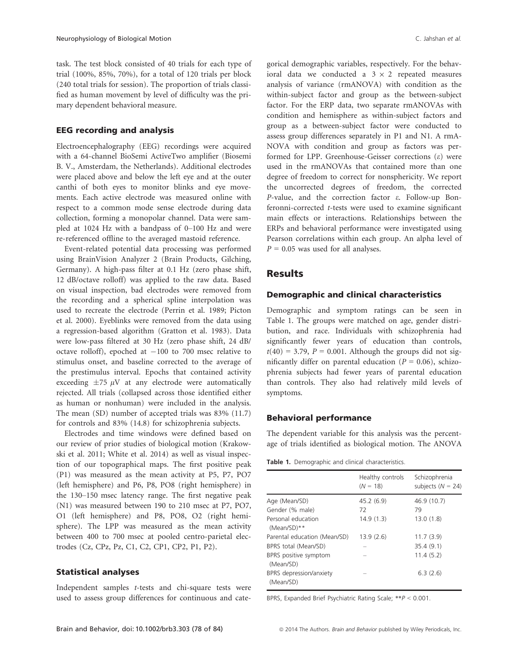task. The test block consisted of 40 trials for each type of trial (100%, 85%, 70%), for a total of 120 trials per block (240 total trials for session). The proportion of trials classified as human movement by level of difficulty was the primary dependent behavioral measure.

#### EEG recording and analysis

Electroencephalography (EEG) recordings were acquired with a 64-channel BioSemi ActiveTwo amplifier (Biosemi B. V., Amsterdam, the Netherlands). Additional electrodes were placed above and below the left eye and at the outer canthi of both eyes to monitor blinks and eye movements. Each active electrode was measured online with respect to a common mode sense electrode during data collection, forming a monopolar channel. Data were sampled at 1024 Hz with a bandpass of 0–100 Hz and were re-referenced offline to the averaged mastoid reference.

Event-related potential data processing was performed using BrainVision Analyzer 2 (Brain Products, Gilching, Germany). A high-pass filter at 0.1 Hz (zero phase shift, 12 dB/octave rolloff) was applied to the raw data. Based on visual inspection, bad electrodes were removed from the recording and a spherical spline interpolation was used to recreate the electrode (Perrin et al. 1989; Picton et al. 2000). Eyeblinks were removed from the data using a regression-based algorithm (Gratton et al. 1983). Data were low-pass filtered at 30 Hz (zero phase shift, 24 dB/ octave rolloff), epoched at  $-100$  to 700 msec relative to stimulus onset, and baseline corrected to the average of the prestimulus interval. Epochs that contained activity exceeding  $\pm 75 \mu V$  at any electrode were automatically rejected. All trials (collapsed across those identified either as human or nonhuman) were included in the analysis. The mean (SD) number of accepted trials was 83% (11.7) for controls and 83% (14.8) for schizophrenia subjects.

Electrodes and time windows were defined based on our review of prior studies of biological motion (Krakowski et al. 2011; White et al. 2014) as well as visual inspection of our topographical maps. The first positive peak (P1) was measured as the mean activity at P5, P7, PO7 (left hemisphere) and P6, P8, PO8 (right hemisphere) in the 130–150 msec latency range. The first negative peak (N1) was measured between 190 to 210 msec at P7, PO7, O1 (left hemisphere) and P8, PO8, O2 (right hemisphere). The LPP was measured as the mean activity between 400 to 700 msec at pooled centro-parietal electrodes (Cz, CPz, Pz, C1, C2, CP1, CP2, P1, P2).

#### Statistical analyses

Independent samples t-tests and chi-square tests were used to assess group differences for continuous and categorical demographic variables, respectively. For the behavioral data we conducted a  $3 \times 2$  repeated measures analysis of variance (rmANOVA) with condition as the within-subject factor and group as the between-subject factor. For the ERP data, two separate rmANOVAs with condition and hemisphere as within-subject factors and group as a between-subject factor were conducted to assess group differences separately in P1 and N1. A rmA-NOVA with condition and group as factors was performed for LPP. Greenhouse-Geisser corrections  $(\varepsilon)$  were used in the rmANOVAs that contained more than one degree of freedom to correct for nonsphericity. We report the uncorrected degrees of freedom, the corrected P-value, and the correction factor e. Follow-up Bonferonni-corrected t-tests were used to examine significant main effects or interactions. Relationships between the ERPs and behavioral performance were investigated using Pearson correlations within each group. An alpha level of  $P = 0.05$  was used for all analyses.

#### Results

#### Demographic and clinical characteristics

Demographic and symptom ratings can be seen in Table 1. The groups were matched on age, gender distribution, and race. Individuals with schizophrenia had significantly fewer years of education than controls,  $t(40) = 3.79$ ,  $P = 0.001$ . Although the groups did not significantly differ on parental education ( $P = 0.06$ ), schizophrenia subjects had fewer years of parental education than controls. They also had relatively mild levels of symptoms.

#### Behavioral performance

The dependent variable for this analysis was the percentage of trials identified as biological motion. The ANOVA

Table 1. Demographic and clinical characteristics.

|                                      | Healthy controls<br>$(N = 18)$ | Schizophrenia<br>subjects $(N = 24)$ |
|--------------------------------------|--------------------------------|--------------------------------------|
| Age (Mean/SD)                        | 45.2(6.9)                      | 46.9 (10.7)                          |
| Gender (% male)                      | 72                             | 79                                   |
| Personal education<br>$(Mean/SD)$ ** | 14.9(1.3)                      | 13.0(1.8)                            |
| Parental education (Mean/SD)         | 13.9(2.6)                      | 11.7(3.9)                            |
| BPRS total (Mean/SD)                 |                                | 35.4(9.1)                            |
| BPRS positive symptom<br>(Mean/SD)   |                                | 11.4(5.2)                            |
| BPRS depression/anxiety<br>(Mean/SD) |                                | 6.3(2.6)                             |

BPRS, Expanded Brief Psychiatric Rating Scale; \*\*P < 0.001.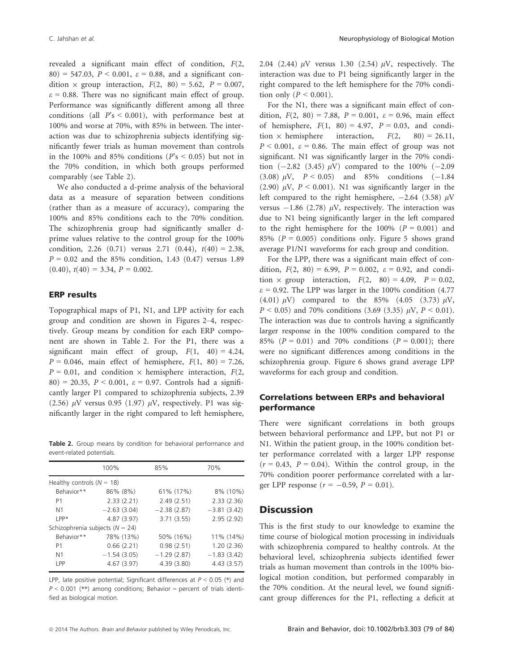revealed a significant main effect of condition, F(2, 80) = 547.03,  $P < 0.001$ ,  $\varepsilon = 0.88$ , and a significant condition  $\times$  group interaction,  $F(2, 80) = 5.62$ ,  $P = 0.007$ ,  $\varepsilon$  = 0.88. There was no significant main effect of group. Performance was significantly different among all three conditions (all  $P's < 0.001$ ), with performance best at 100% and worse at 70%, with 85% in between. The interaction was due to schizophrenia subjects identifying significantly fewer trials as human movement than controls in the 100% and 85% conditions ( $P's \le 0.05$ ) but not in the 70% condition, in which both groups performed comparably (see Table 2).

We also conducted a d-prime analysis of the behavioral data as a measure of separation between conditions (rather than as a measure of accuracy), comparing the 100% and 85% conditions each to the 70% condition. The schizophrenia group had significantly smaller dprime values relative to the control group for the 100% condition, 2.26 (0.71) versus 2.71 (0.44),  $t(40) = 2.38$ ,  $P = 0.02$  and the 85% condition, 1.43 (0.47) versus 1.89  $(0.40)$ ,  $t(40) = 3.34$ ,  $P = 0.002$ .

#### ERP results

Topographical maps of P1, N1, and LPP activity for each group and condition are shown in Figures 2–4, respectively. Group means by condition for each ERP component are shown in Table 2. For the P1, there was a significant main effect of group,  $F(1, 40) = 4.24$ ,  $P = 0.046$ , main effect of hemisphere,  $F(1, 80) = 7.26$ ,  $P = 0.01$ , and condition  $\times$  hemisphere interaction,  $F(2, \cdot)$ 80) = 20.35,  $P < 0.001$ ,  $\varepsilon = 0.97$ . Controls had a significantly larger P1 compared to schizophrenia subjects, 2.39 (2.56)  $\mu$ V versus 0.95 (1.97)  $\mu$ V, respectively. P1 was significantly larger in the right compared to left hemisphere,

Table 2. Group means by condition for behavioral performance and event-related potentials.

|                               | 100%                                | 85%           | 70%           |
|-------------------------------|-------------------------------------|---------------|---------------|
| Healthy controls ( $N = 18$ ) |                                     |               |               |
| Behavior**                    | 86% (8%)                            | 61% (17%)     | 8% (10%)      |
| P1                            | 2.33(2.21)                          | 2.49(2.51)    | 2.33(2.36)    |
| N <sub>1</sub>                | $-2.63(3.04)$                       | $-2.38(2.87)$ | $-3.81(3.42)$ |
| $IPP*$                        | 4.87(3.97)                          | 3.71(3.55)    | 2.95(2.92)    |
|                               | Schizophrenia subjects ( $N = 24$ ) |               |               |
| Behavior**                    | 78% (13%)                           | 50% (16%)     | 11% (14%)     |
| P1                            | 0.66(2.21)                          | 0.98(2.51)    | 1.20(2.36)    |
| N <sub>1</sub>                | $-1.54(3.05)$                       | $-1.29(2.87)$ | $-1.83(3.42)$ |
| LPP                           | 4.67(3.97)                          | 4.39 (3.80)   | 4.43(3.57)    |

LPP, late positive potential; Significant differences at  $P < 0.05$  (\*) and  $P < 0.001$  (\*\*) among conditions; Behavior = percent of trials identified as biological motion.

2.04 (2.44)  $\mu$ V versus 1.30 (2.54)  $\mu$ V, respectively. The interaction was due to P1 being significantly larger in the right compared to the left hemisphere for the 70% condition only ( $P \leq 0.001$ ).

For the N1, there was a significant main effect of condition,  $F(2, 80) = 7.88$ ,  $P = 0.001$ ,  $\varepsilon = 0.96$ , main effect of hemisphere,  $F(1, 80) = 4.97$ ,  $P = 0.03$ , and condition  $\times$  hemisphere interaction,  $F(2, 80) = 26.11$ ,  $P < 0.001$ ,  $\varepsilon = 0.86$ . The main effect of group was not significant. N1 was significantly larger in the 70% condition  $(-2.82 \ (3.45) \ \mu V)$  compared to the 100%  $(-2.09$ (3.08)  $\mu$ V,  $P < 0.05$ ) and 85% conditions (-1.84) (2.90)  $\mu$ V,  $P < 0.001$ ). N1 was significantly larger in the left compared to the right hemisphere,  $-2.64$  (3.58)  $\mu$ V versus  $-1.86$  (2.78)  $\mu$ V, respectively. The interaction was due to N1 being significantly larger in the left compared to the right hemisphere for the 100%  $(P = 0.001)$  and 85% ( $P = 0.005$ ) conditions only. Figure 5 shows grand average P1/N1 waveforms for each group and condition.

For the LPP, there was a significant main effect of condition,  $F(2, 80) = 6.99$ ,  $P = 0.002$ ,  $\varepsilon = 0.92$ , and condition  $\times$  group interaction,  $F(2, 80) = 4.09$ ,  $P = 0.02$ ,  $\varepsilon$  = 0.92. The LPP was larger in the 100% condition (4.77) (4.01)  $\mu$ V) compared to the 85% (4.05 (3.73)  $\mu$ V,  $P < 0.05$ ) and 70% conditions (3.69 (3.35)  $\mu$ V,  $P < 0.01$ ). The interaction was due to controls having a significantly larger response in the 100% condition compared to the 85% ( $P = 0.01$ ) and 70% conditions ( $P = 0.001$ ); there were no significant differences among conditions in the schizophrenia group. Figure 6 shows grand average LPP waveforms for each group and condition.

#### Correlations between ERPs and behavioral performance

There were significant correlations in both groups between behavioral performance and LPP, but not P1 or N1. Within the patient group, in the 100% condition better performance correlated with a larger LPP response  $(r = 0.43, P = 0.04)$ . Within the control group, in the 70% condition poorer performance correlated with a larger LPP response ( $r = -0.59$ ,  $P = 0.01$ ).

#### **Discussion**

This is the first study to our knowledge to examine the time course of biological motion processing in individuals with schizophrenia compared to healthy controls. At the behavioral level, schizophrenia subjects identified fewer trials as human movement than controls in the 100% biological motion condition, but performed comparably in the 70% condition. At the neural level, we found significant group differences for the P1, reflecting a deficit at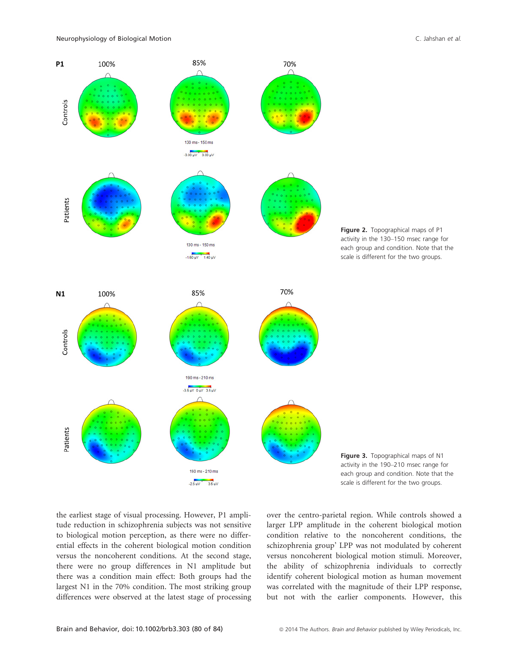





Figure 3. Topographical maps of N1 activity in the 190–210 msec range for each group and condition. Note that the scale is different for the two groups.

the earliest stage of visual processing. However, P1 amplitude reduction in schizophrenia subjects was not sensitive to biological motion perception, as there were no differential effects in the coherent biological motion condition versus the noncoherent conditions. At the second stage, there were no group differences in N1 amplitude but there was a condition main effect: Both groups had the largest N1 in the 70% condition. The most striking group differences were observed at the latest stage of processing

over the centro-parietal region. While controls showed a larger LPP amplitude in the coherent biological motion condition relative to the noncoherent conditions, the schizophrenia group' LPP was not modulated by coherent versus noncoherent biological motion stimuli. Moreover, the ability of schizophrenia individuals to correctly identify coherent biological motion as human movement was correlated with the magnitude of their LPP response, but not with the earlier components. However, this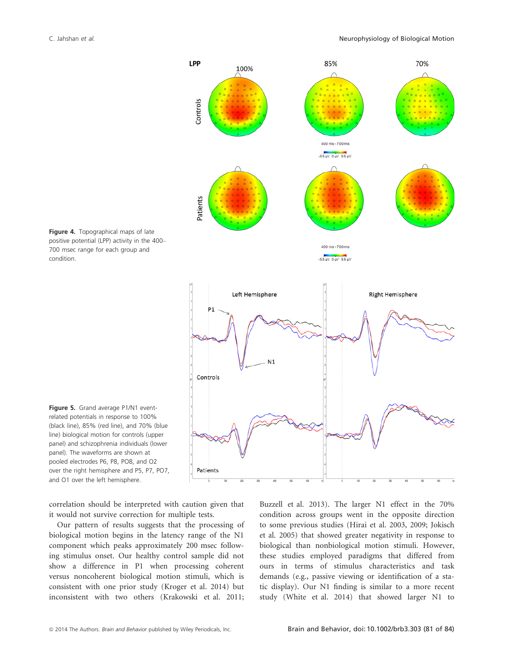





Figure 5. Grand average P1/N1 eventrelated potentials in response to 100% (black line), 85% (red line), and 70% (blue line) biological motion for controls (upper panel) and schizophrenia individuals (lower panel). The waveforms are shown at pooled electrodes P6, P8, PO8, and O2 over the right hemisphere and P5, P7, PO7, and O1 over the left hemisphere.

correlation should be interpreted with caution given that it would not survive correction for multiple tests.

Our pattern of results suggests that the processing of biological motion begins in the latency range of the N1 component which peaks approximately 200 msec following stimulus onset. Our healthy control sample did not show a difference in P1 when processing coherent versus noncoherent biological motion stimuli, which is consistent with one prior study (Kroger et al. 2014) but inconsistent with two others (Krakowski et al. 2011; Buzzell et al. 2013). The larger N1 effect in the 70% condition across groups went in the opposite direction to some previous studies (Hirai et al. 2003, 2009; Jokisch et al. 2005) that showed greater negativity in response to biological than nonbiological motion stimuli. However, these studies employed paradigms that differed from ours in terms of stimulus characteristics and task demands (e.g., passive viewing or identification of a static display). Our N1 finding is similar to a more recent study (White et al. 2014) that showed larger N1 to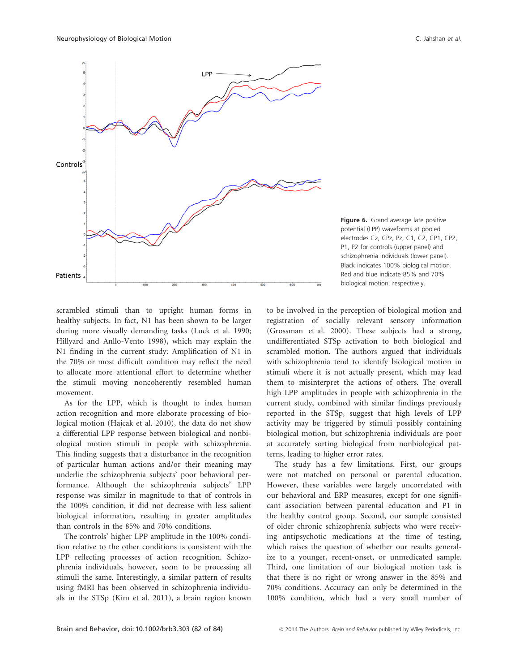

Figure 6. Grand average late positive potential (LPP) waveforms at pooled electrodes Cz, CPz, Pz, C1, C2, CP1, CP2, P1, P2 for controls (upper panel) and schizophrenia individuals (lower panel). Black indicates 100% biological motion. Red and blue indicate 85% and 70% biological motion, respectively.

scrambled stimuli than to upright human forms in healthy subjects. In fact, N1 has been shown to be larger during more visually demanding tasks (Luck et al. 1990; Hillyard and Anllo-Vento 1998), which may explain the N1 finding in the current study: Amplification of N1 in the 70% or most difficult condition may reflect the need to allocate more attentional effort to determine whether the stimuli moving noncoherently resembled human movement.

As for the LPP, which is thought to index human action recognition and more elaborate processing of biological motion (Hajcak et al. 2010), the data do not show a differential LPP response between biological and nonbiological motion stimuli in people with schizophrenia. This finding suggests that a disturbance in the recognition of particular human actions and/or their meaning may underlie the schizophrenia subjects' poor behavioral performance. Although the schizophrenia subjects' LPP response was similar in magnitude to that of controls in the 100% condition, it did not decrease with less salient biological information, resulting in greater amplitudes than controls in the 85% and 70% conditions.

The controls' higher LPP amplitude in the 100% condition relative to the other conditions is consistent with the LPP reflecting processes of action recognition. Schizophrenia individuals, however, seem to be processing all stimuli the same. Interestingly, a similar pattern of results using fMRI has been observed in schizophrenia individuals in the STSp (Kim et al. 2011), a brain region known to be involved in the perception of biological motion and registration of socially relevant sensory information (Grossman et al. 2000). These subjects had a strong, undifferentiated STSp activation to both biological and scrambled motion. The authors argued that individuals with schizophrenia tend to identify biological motion in stimuli where it is not actually present, which may lead them to misinterpret the actions of others. The overall high LPP amplitudes in people with schizophrenia in the current study, combined with similar findings previously reported in the STSp, suggest that high levels of LPP activity may be triggered by stimuli possibly containing biological motion, but schizophrenia individuals are poor at accurately sorting biological from nonbiological patterns, leading to higher error rates.

The study has a few limitations. First, our groups were not matched on personal or parental education. However, these variables were largely uncorrelated with our behavioral and ERP measures, except for one significant association between parental education and P1 in the healthy control group. Second, our sample consisted of older chronic schizophrenia subjects who were receiving antipsychotic medications at the time of testing, which raises the question of whether our results generalize to a younger, recent-onset, or unmedicated sample. Third, one limitation of our biological motion task is that there is no right or wrong answer in the 85% and 70% conditions. Accuracy can only be determined in the 100% condition, which had a very small number of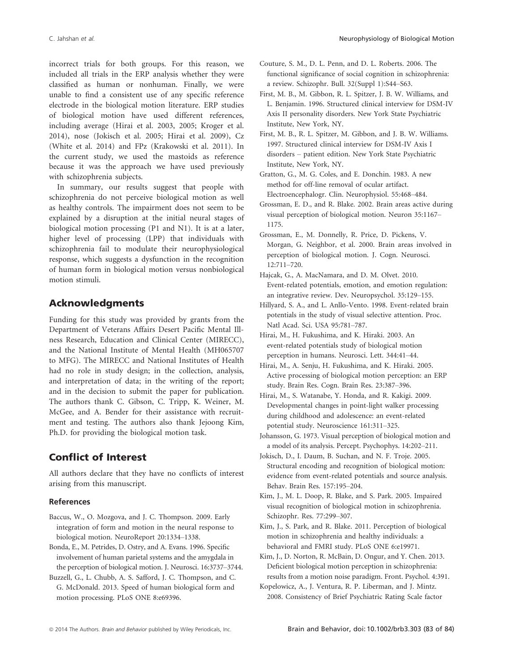incorrect trials for both groups. For this reason, we included all trials in the ERP analysis whether they were classified as human or nonhuman. Finally, we were unable to find a consistent use of any specific reference electrode in the biological motion literature. ERP studies of biological motion have used different references, including average (Hirai et al. 2003, 2005; Kroger et al. 2014), nose (Jokisch et al. 2005; Hirai et al. 2009), Cz (White et al. 2014) and FPz (Krakowski et al. 2011). In the current study, we used the mastoids as reference because it was the approach we have used previously with schizophrenia subjects.

In summary, our results suggest that people with schizophrenia do not perceive biological motion as well as healthy controls. The impairment does not seem to be explained by a disruption at the initial neural stages of biological motion processing (P1 and N1). It is at a later, higher level of processing (LPP) that individuals with schizophrenia fail to modulate their neurophysiological response, which suggests a dysfunction in the recognition of human form in biological motion versus nonbiological motion stimuli.

### Acknowledgments

Funding for this study was provided by grants from the Department of Veterans Affairs Desert Pacific Mental Illness Research, Education and Clinical Center (MIRECC), and the National Institute of Mental Health (MH065707 to MFG). The MIRECC and National Institutes of Health had no role in study design; in the collection, analysis, and interpretation of data; in the writing of the report; and in the decision to submit the paper for publication. The authors thank C. Gibson, C. Tripp, K. Weiner, M. McGee, and A. Bender for their assistance with recruitment and testing. The authors also thank Jejoong Kim, Ph.D. for providing the biological motion task.

# Conflict of Interest

All authors declare that they have no conflicts of interest arising from this manuscript.

#### References

- Baccus, W., O. Mozgova, and J. C. Thompson. 2009. Early integration of form and motion in the neural response to biological motion. NeuroReport 20:1334–1338.
- Bonda, E., M. Petrides, D. Ostry, and A. Evans. 1996. Specific involvement of human parietal systems and the amygdala in the perception of biological motion. J. Neurosci. 16:3737–3744.
- Buzzell, G., L. Chubb, A. S. Safford, J. C. Thompson, and C. G. McDonald. 2013. Speed of human biological form and motion processing. PLoS ONE 8:e69396.
- Couture, S. M., D. L. Penn, and D. L. Roberts. 2006. The functional significance of social cognition in schizophrenia: a review. Schizophr. Bull. 32(Suppl 1):S44–S63.
- First, M. B., M. Gibbon, R. L. Spitzer, J. B. W. Williams, and L. Benjamin. 1996. Structured clinical interview for DSM-IV Axis II personality disorders. New York State Psychiatric Institute, New York, NY.
- First, M. B., R. L. Spitzer, M. Gibbon, and J. B. W. Williams. 1997. Structured clinical interview for DSM-IV Axis I disorders – patient edition. New York State Psychiatric Institute, New York, NY.
- Gratton, G., M. G. Coles, and E. Donchin. 1983. A new method for off-line removal of ocular artifact. Electroencephalogr. Clin. Neurophysiol. 55:468–484.
- Grossman, E. D., and R. Blake. 2002. Brain areas active during visual perception of biological motion. Neuron 35:1167– 1175.
- Grossman, E., M. Donnelly, R. Price, D. Pickens, V. Morgan, G. Neighbor, et al. 2000. Brain areas involved in perception of biological motion. J. Cogn. Neurosci. 12:711–720.
- Hajcak, G., A. MacNamara, and D. M. Olvet. 2010. Event-related potentials, emotion, and emotion regulation: an integrative review. Dev. Neuropsychol. 35:129–155.
- Hillyard, S. A., and L. Anllo-Vento. 1998. Event-related brain potentials in the study of visual selective attention. Proc. Natl Acad. Sci. USA 95:781–787.
- Hirai, M., H. Fukushima, and K. Hiraki. 2003. An event-related potentials study of biological motion perception in humans. Neurosci. Lett. 344:41–44.
- Hirai, M., A. Senju, H. Fukushima, and K. Hiraki. 2005. Active processing of biological motion perception: an ERP study. Brain Res. Cogn. Brain Res. 23:387–396.
- Hirai, M., S. Watanabe, Y. Honda, and R. Kakigi. 2009. Developmental changes in point-light walker processing during childhood and adolescence: an event-related potential study. Neuroscience 161:311–325.
- Johansson, G. 1973. Visual perception of biological motion and a model of its analysis. Percept. Psychophys. 14:202–211.
- Jokisch, D., I. Daum, B. Suchan, and N. F. Troje. 2005. Structural encoding and recognition of biological motion: evidence from event-related potentials and source analysis. Behav. Brain Res. 157:195–204.
- Kim, J., M. L. Doop, R. Blake, and S. Park. 2005. Impaired visual recognition of biological motion in schizophrenia. Schizophr. Res. 77:299–307.
- Kim, J., S. Park, and R. Blake. 2011. Perception of biological motion in schizophrenia and healthy individuals: a behavioral and FMRI study. PLoS ONE 6:e19971.
- Kim, J., D. Norton, R. McBain, D. Ongur, and Y. Chen. 2013. Deficient biological motion perception in schizophrenia: results from a motion noise paradigm. Front. Psychol. 4:391.
- Kopelowicz, A., J. Ventura, R. P. Liberman, and J. Mintz. 2008. Consistency of Brief Psychiatric Rating Scale factor